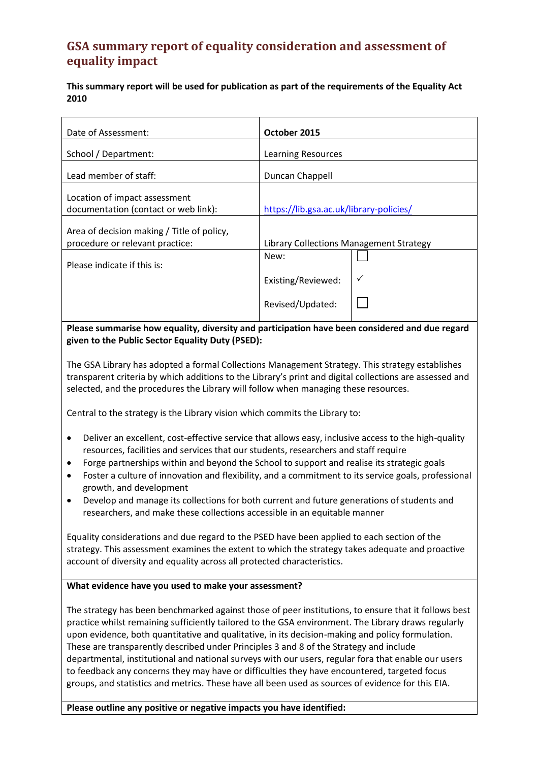## **GSA summary report of equality consideration and assessment of equality impact**

**This summary report will be used for publication as part of the requirements of the Equality Act 2010**

| Date of Assessment:                                                           | October 2015                            |
|-------------------------------------------------------------------------------|-----------------------------------------|
| School / Department:                                                          | Learning Resources                      |
| Lead member of staff:                                                         | Duncan Chappell                         |
| Location of impact assessment<br>documentation (contact or web link):         | https://lib.gsa.ac.uk/library-policies/ |
| Area of decision making / Title of policy,<br>procedure or relevant practice: | Library Collections Management Strategy |
| Please indicate if this is:                                                   | New:                                    |
|                                                                               | Existing/Reviewed:                      |
|                                                                               | Revised/Updated:                        |

**Please summarise how equality, diversity and participation have been considered and due regard given to the Public Sector Equality Duty (PSED):**

The GSA Library has adopted a formal Collections Management Strategy. This strategy establishes transparent criteria by which additions to the Library's print and digital collections are assessed and selected, and the procedures the Library will follow when managing these resources.

Central to the strategy is the Library vision which commits the Library to:

- Deliver an excellent, cost-effective service that allows easy, inclusive access to the high-quality resources, facilities and services that our students, researchers and staff require
- Forge partnerships within and beyond the School to support and realise its strategic goals
- Foster a culture of innovation and flexibility, and a commitment to its service goals, professional growth, and development
- Develop and manage its collections for both current and future generations of students and researchers, and make these collections accessible in an equitable manner

Equality considerations and due regard to the PSED have been applied to each section of the strategy. This assessment examines the extent to which the strategy takes adequate and proactive account of diversity and equality across all protected characteristics.

#### **What evidence have you used to make your assessment?**

The strategy has been benchmarked against those of peer institutions, to ensure that it follows best practice whilst remaining sufficiently tailored to the GSA environment. The Library draws regularly upon evidence, both quantitative and qualitative, in its decision-making and policy formulation. These are transparently described under Principles 3 and 8 of the Strategy and include departmental, institutional and national surveys with our users, regular fora that enable our users to feedback any concerns they may have or difficulties they have encountered, targeted focus groups, and statistics and metrics. These have all been used as sources of evidence for this EIA.

#### **Please outline any positive or negative impacts you have identified:**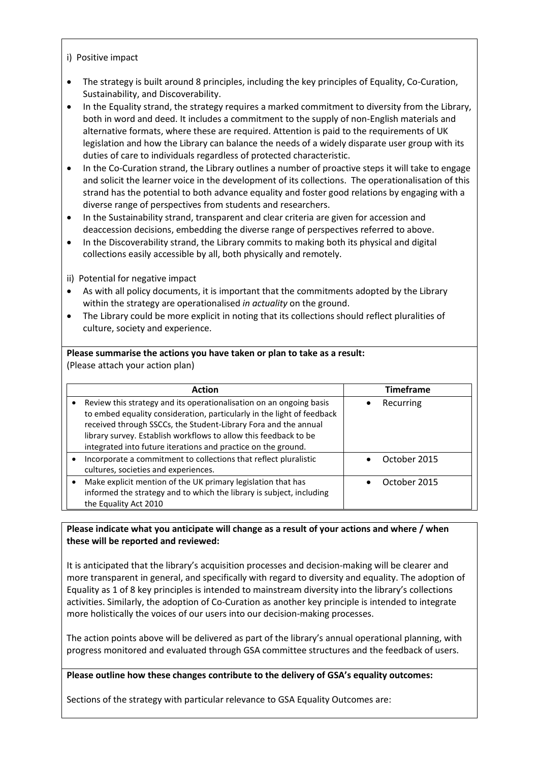#### i) Positive impact

- The strategy is built around 8 principles, including the key principles of Equality, Co-Curation, Sustainability, and Discoverability.
- In the Equality strand, the strategy requires a marked commitment to diversity from the Library, both in word and deed. It includes a commitment to the supply of non-English materials and alternative formats, where these are required. Attention is paid to the requirements of UK legislation and how the Library can balance the needs of a widely disparate user group with its duties of care to individuals regardless of protected characteristic.
- In the Co-Curation strand, the Library outlines a number of proactive steps it will take to engage and solicit the learner voice in the development of its collections. The operationalisation of this strand has the potential to both advance equality and foster good relations by engaging with a diverse range of perspectives from students and researchers.
- In the Sustainability strand, transparent and clear criteria are given for accession and deaccession decisions, embedding the diverse range of perspectives referred to above.
- In the Discoverability strand, the Library commits to making both its physical and digital collections easily accessible by all, both physically and remotely.

ii) Potential for negative impact

- As with all policy documents, it is important that the commitments adopted by the Library within the strategy are operationalised *in actuality* on the ground.
- The Library could be more explicit in noting that its collections should reflect pluralities of culture, society and experience.

#### **Please summarise the actions you have taken or plan to take as a result:**

(Please attach your action plan)

| <b>Action</b>                                                                                                                                                                                                                                                                                                                                         | <b>Timeframe</b> |
|-------------------------------------------------------------------------------------------------------------------------------------------------------------------------------------------------------------------------------------------------------------------------------------------------------------------------------------------------------|------------------|
| Review this strategy and its operationalisation on an ongoing basis<br>to embed equality consideration, particularly in the light of feedback<br>received through SSCCs, the Student-Library Fora and the annual<br>library survey. Establish workflows to allow this feedback to be<br>integrated into future iterations and practice on the ground. | Recurring        |
| Incorporate a commitment to collections that reflect pluralistic<br>cultures, societies and experiences.                                                                                                                                                                                                                                              | October 2015     |
| Make explicit mention of the UK primary legislation that has<br>informed the strategy and to which the library is subject, including<br>the Equality Act 2010                                                                                                                                                                                         | October 2015     |

### **Please indicate what you anticipate will change as a result of your actions and where / when these will be reported and reviewed:**

It is anticipated that the library's acquisition processes and decision-making will be clearer and more transparent in general, and specifically with regard to diversity and equality. The adoption of Equality as 1 of 8 key principles is intended to mainstream diversity into the library's collections activities. Similarly, the adoption of Co-Curation as another key principle is intended to integrate more holistically the voices of our users into our decision-making processes.

The action points above will be delivered as part of the library's annual operational planning, with progress monitored and evaluated through GSA committee structures and the feedback of users.

#### **Please outline how these changes contribute to the delivery of GSA's equality outcomes:**

Sections of the strategy with particular relevance to GSA Equality Outcomes are: